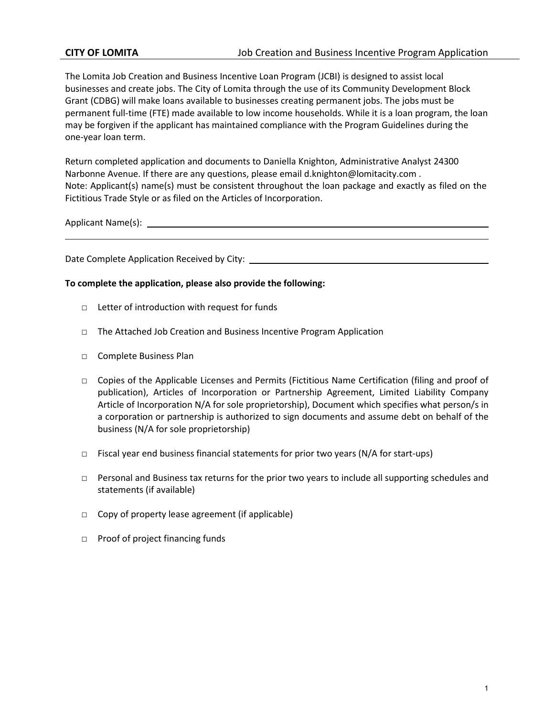The Lomita Job Creation and Business Incentive Loan Program (JCBI) is designed to assist local businesses and create jobs. The City of Lomita through the use of its Community Development Block Grant (CDBG) will make loans available to businesses creating permanent jobs. The jobs must be permanent full-time (FTE) made available to low income households. While it is a loan program, the loan may be forgiven if the applicant has maintained compliance with the Program Guidelines during the one-year loan term.

Return completed application and documents to Daniella Knighton, Administrative Analyst 24300 Narbonne Avenue. If there are any questions, please email d.knighton@lomitacity.com . Note: Applicant(s) name(s) must be consistent throughout the loan package and exactly as filed on the Fictitious Trade Style or as filed on the Articles of Incorporation.

Applicant Name(s):

Date Complete Application Received by City:

### **To complete the application, please also provide the following:**

- □ Letter of introduction with request for funds
- □ The Attached Job Creation and Business Incentive Program Application
- □ Complete Business Plan
- □ Copies of the Applicable Licenses and Permits (Fictitious Name Certification (filing and proof of publication), Articles of Incorporation or Partnership Agreement, Limited Liability Company Article of Incorporation N/A for sole proprietorship), Document which specifies what person/s in a corporation or partnership is authorized to sign documents and assume debt on behalf of the business (N/A for sole proprietorship)
- $\Box$  Fiscal year end business financial statements for prior two years (N/A for start-ups)
- □ Personal and Business tax returns for the prior two years to include all supporting schedules and statements (if available)
- □ Copy of property lease agreement (if applicable)
- □ Proof of project financing funds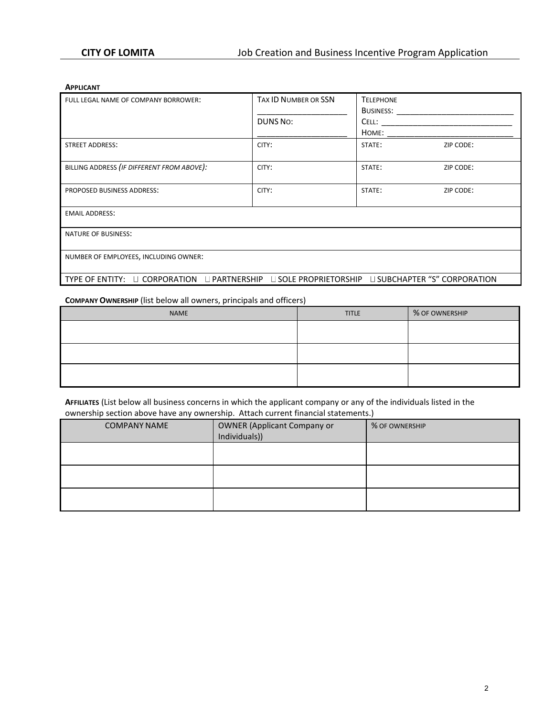#### **APPLICANT**

| FULL LEGAL NAME OF COMPANY BORROWER:                                                           | <b>TAX ID NUMBER OR SSN</b> | <b>TELEPHONE</b>         |           |  |  |  |
|------------------------------------------------------------------------------------------------|-----------------------------|--------------------------|-----------|--|--|--|
|                                                                                                |                             | <b>BUSINESS: Example</b> |           |  |  |  |
|                                                                                                | DUNS No:                    | Cell:                    |           |  |  |  |
|                                                                                                |                             | HOME:                    |           |  |  |  |
| <b>STREET ADDRESS:</b>                                                                         | CITY:                       | STATE:                   | ZIP CODE: |  |  |  |
| BILLING ADDRESS (IF DIFFERENT FROM ABOVE):                                                     | CITY:                       | STATE:                   | ZIP CODE: |  |  |  |
| PROPOSED BUSINESS ADDRESS:                                                                     | CITY:                       | STATE:                   | ZIP CODE: |  |  |  |
| <b>EMAIL ADDRESS:</b>                                                                          |                             |                          |           |  |  |  |
| NATURE OF BUSINESS:                                                                            |                             |                          |           |  |  |  |
| NUMBER OF EMPLOYEES, INCLUDING OWNER:                                                          |                             |                          |           |  |  |  |
| TYPE OF ENTITY: □ CORPORATION □ PARTNERSHIP □ SOLE PROPRIETORSHIP □ SUBCHAPTER "S" CORPORATION |                             |                          |           |  |  |  |

### **COMPANY OWNERSHIP** (list below all owners, principals and officers)

| <b>NAME</b> | <b>TITLE</b> | % OF OWNERSHIP |
|-------------|--------------|----------------|
|             |              |                |
|             |              |                |
|             |              |                |
|             |              |                |
|             |              |                |
|             |              |                |

**AFFILIATES** (List below all business concerns in which the applicant company or any of the individuals listed in the ownership section above have any ownership. Attach current financial statements.)

| <b>COMPANY NAME</b> | <b>OWNER (Applicant Company or</b><br>Individuals)) | % OF OWNERSHIP |
|---------------------|-----------------------------------------------------|----------------|
|                     |                                                     |                |
|                     |                                                     |                |
|                     |                                                     |                |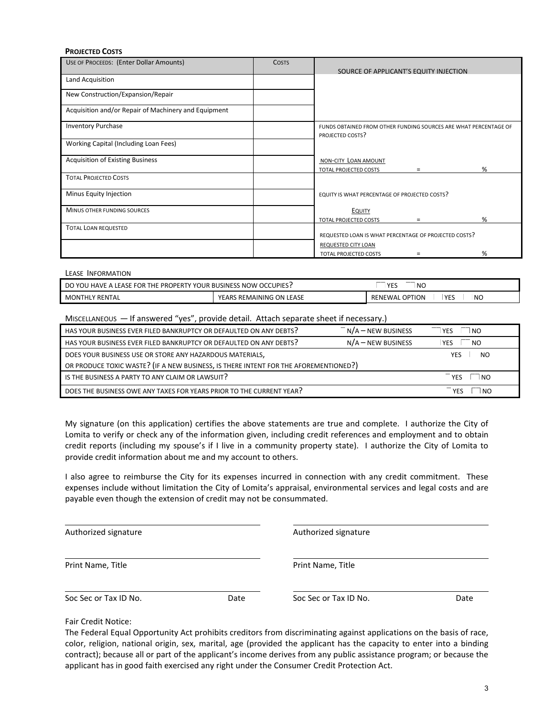#### **PROJECTED COSTS**

| USE OF PROCEEDS: (Enter Dollar Amounts)              | <b>COSTS</b> | SOURCE OF APPLICANT'S EQUITY INJECTION                                               |
|------------------------------------------------------|--------------|--------------------------------------------------------------------------------------|
| Land Acquisition                                     |              |                                                                                      |
| New Construction/Expansion/Repair                    |              |                                                                                      |
| Acquisition and/or Repair of Machinery and Equipment |              |                                                                                      |
| <b>Inventory Purchase</b>                            |              | FUNDS OBTAINED FROM OTHER FUNDING SOURCES ARE WHAT PERCENTAGE OF<br>PROJECTED COSTS? |
| Working Capital (Including Loan Fees)                |              |                                                                                      |
| <b>Acquisition of Existing Business</b>              |              | NON-CITY LOAN AMOUNT<br>%<br>TOTAL PROJECTED COSTS<br>$\equiv$                       |
| <b>TOTAL PROJECTED COSTS</b>                         |              |                                                                                      |
| Minus Equity Injection                               |              | EQUITY IS WHAT PERCENTAGE OF PROJECTED COSTS?                                        |
| MINUS OTHER FUNDING SOURCES                          |              | EQUITY<br>%<br><b>TOTAL PROJECTED COSTS</b><br>Ξ                                     |
| <b>TOTAL LOAN REQUESTED</b>                          |              | REQUESTED LOAN IS WHAT PERCENTAGE OF PROJECTED COSTS?                                |
|                                                      |              | REQUESTED CITY LOAN<br>%<br><b>TOTAL PROJECTED COSTS</b>                             |

| LEASE INFORMATION |
|-------------------|
|                   |

| <b>HAVF</b><br>'YOUR<br>THE PROPERTY<br>: BUSINESS NOW OCCUPIES :<br>$\,$ A LEASE FOR $\,$<br>DO<br>YOL | $\sqrt{2}$<br><b>NC</b><br>--      |                          |                 |           |
|---------------------------------------------------------------------------------------------------------|------------------------------------|--------------------------|-----------------|-----------|
| ' RENTAL<br>MONTHLY                                                                                     | S REMAINING ON LEASE<br><b>ADC</b> | <b>OPTION</b><br>RENEWAL | VE'<br>--<br>__ | <b>NO</b> |

| MISCELLANEOUS - If answered "yes", provide detail. Attach separate sheet if necessary.)                               |  |  |  |  |  |
|-----------------------------------------------------------------------------------------------------------------------|--|--|--|--|--|
| HAS YOUR BUSINESS EVER FILED BANKRUPTCY OR DEFAULTED ON ANY DEBTS?<br>$N/A$ – NEW BUSINESS<br><b>YES</b><br>$\Box$ NO |  |  |  |  |  |
| HAS YOUR BUSINESS EVER FILED BANKRUPTCY OR DEFAULTED ON ANY DEBTS?<br>$N/A$ — NEW BUSINESS<br>NO<br><b>YES</b>        |  |  |  |  |  |
| DOES YOUR BUSINESS USE OR STORE ANY HAZARDOUS MATERIALS,<br>YES<br>N <sub>O</sub>                                     |  |  |  |  |  |
| OR PRODUCE TOXIC WASTE? (IF A NEW BUSINESS, IS THERE INTENT FOR THE AFOREMENTIONED?)                                  |  |  |  |  |  |
| IS THE BUSINESS A PARTY TO ANY CLAIM OR LAWSUIT?<br><b>YFS</b><br>NO.                                                 |  |  |  |  |  |
| DOES THE BUSINESS OWE ANY TAXES FOR YEARS PRIOR TO THE CURRENT YEAR?<br>NO                                            |  |  |  |  |  |

My signature (on this application) certifies the above statements are true and complete. I authorize the City of Lomita to verify or check any of the information given, including credit references and employment and to obtain credit reports (including my spouse's if I live in a community property state). I authorize the City of Lomita to provide credit information about me and my account to others.

I also agree to reimburse the City for its expenses incurred in connection with any credit commitment. These expenses include without limitation the City of Lomita's appraisal, environmental services and legal costs and are payable even though the extension of credit may not be consummated.

| Authorized signature  |      | Authorized signature  |      |  |
|-----------------------|------|-----------------------|------|--|
| Print Name, Title     |      | Print Name, Title     |      |  |
| Soc Sec or Tax ID No. | Date | Soc Sec or Tax ID No. | Date |  |

Fair Credit Notice:

The Federal Equal Opportunity Act prohibits creditors from discriminating against applications on the basis of race, color, religion, national origin, sex, marital, age (provided the applicant has the capacity to enter into a binding contract); because all or part of the applicant's income derives from any public assistance program; or because the applicant has in good faith exercised any right under the Consumer Credit Protection Act.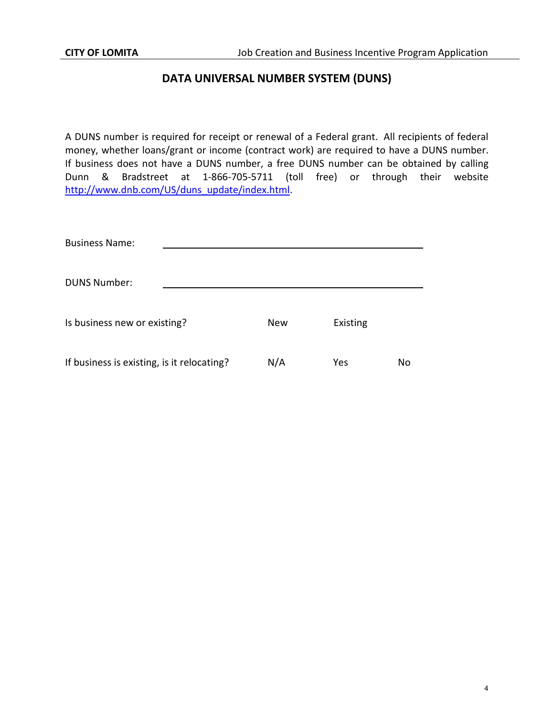# **DATA UNIVERSAL NUMBER SYSTEM (DUNS)**

A DUNS number is required for receipt or renewal of a Federal grant. All recipients of federal money, whether loans/grant or income (contract work) are required to have a DUNS number. If business does not have a DUNS number, a free DUNS number can be obtained by calling Dunn & Bradstreet at 1-866-705-5711 (toll free) or through their website [http://www.dnb.com/US/duns\\_update/index.html.](http://www.dnb.com/US/duns_update/index.html)

| <b>Business Name:</b>                      |            |          |    |
|--------------------------------------------|------------|----------|----|
| <b>DUNS Number:</b>                        |            |          |    |
| Is business new or existing?               | <b>New</b> | Existing |    |
| If business is existing, is it relocating? | N/A        | Yes      | No |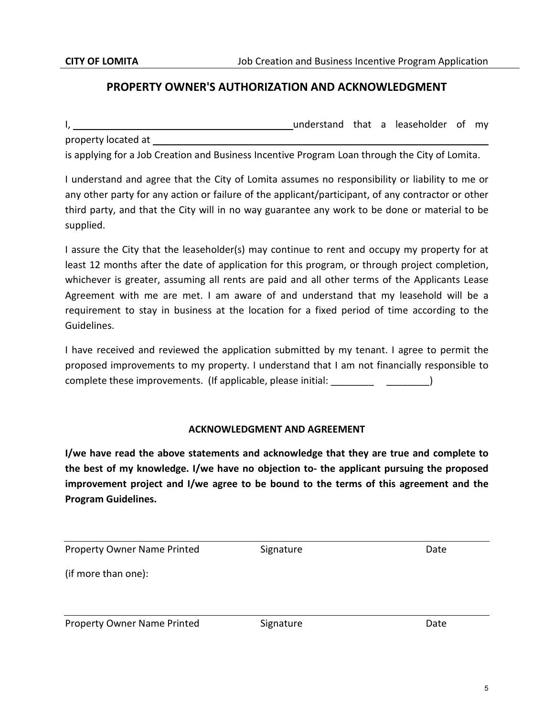## **PROPERTY OWNER'S AUTHORIZATION AND ACKNOWLEDGMENT**

I, understand that a leaseholder of my property located at

is applying for a Job Creation and Business Incentive Program Loan through the City of Lomita.

I understand and agree that the City of Lomita assumes no responsibility or liability to me or any other party for any action or failure of the applicant/participant, of any contractor or other third party, and that the City will in no way guarantee any work to be done or material to be supplied.

I assure the City that the leaseholder(s) may continue to rent and occupy my property for at least 12 months after the date of application for this program, or through project completion, whichever is greater, assuming all rents are paid and all other terms of the Applicants Lease Agreement with me are met. I am aware of and understand that my leasehold will be a requirement to stay in business at the location for a fixed period of time according to the Guidelines.

I have received and reviewed the application submitted by my tenant. I agree to permit the proposed improvements to my property. I understand that I am not financially responsible to complete these improvements. (If applicable, please initial: \_\_\_\_\_\_\_\_\_\_\_\_\_\_\_\_\_\_\_)

### **ACKNOWLEDGMENT AND AGREEMENT**

**I/we have read the above statements and acknowledge that they are true and complete to the best of my knowledge. I/we have no objection to- the applicant pursuing the proposed improvement project and I/we agree to be bound to the terms of this agreement and the Program Guidelines.** 

Property Owner Name Printed Signature Signature Date

(if more than one):

Property Owner Name Printed Signature Signature Date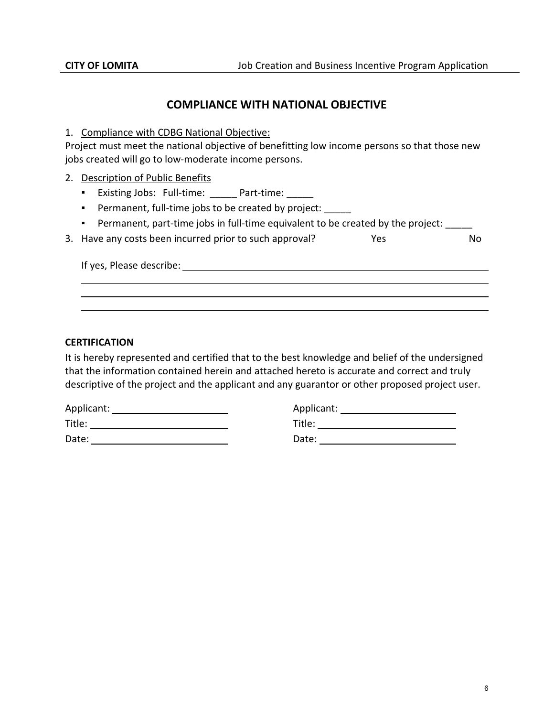### **COMPLIANCE WITH NATIONAL OBJECTIVE**

1. Compliance with CDBG National Objective:

Project must meet the national objective of benefitting low income persons so that those new jobs created will go to low-moderate income persons.

- 2. Description of Public Benefits
	- Existing Jobs: Full-time: \_\_\_\_\_ Part-time: \_\_\_\_\_
	- Permanent, full-time jobs to be created by project: \_\_\_\_\_
	- Permanent, part-time jobs in full-time equivalent to be created by the project: \_\_\_\_\_

| 3. Have any costs been incurred prior to such approval? | <b>Yes</b> | No. |
|---------------------------------------------------------|------------|-----|
|                                                         |            |     |

If yes, Please describe:

### **CERTIFICATION**

It is hereby represented and certified that to the best knowledge and belief of the undersigned that the information contained herein and attached hereto is accurate and correct and truly descriptive of the project and the applicant and any guarantor or other proposed project user.

| Applicant: |
|------------|
| Title:     |
| Date:      |
|            |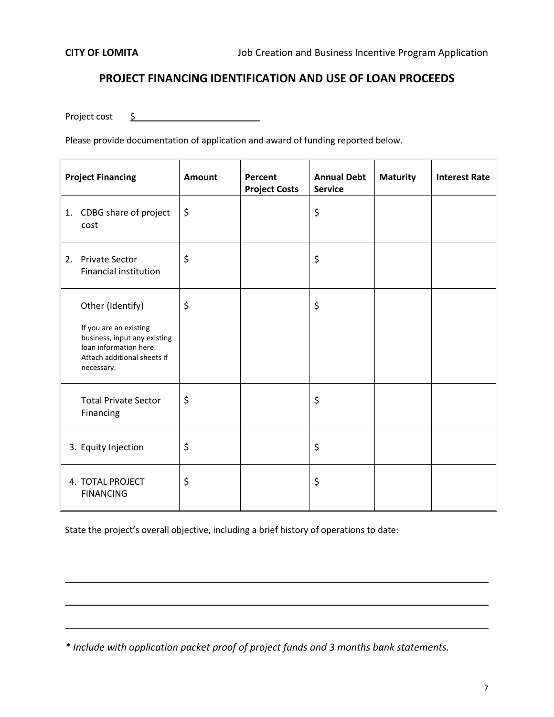### **PROJECT FINANCING IDENTIFICATION AND USE OF LOAN PROCEEDS**

Project cost \$

Please provide documentation of application and award of funding reported below.

|    | <b>Project Financing</b>                                                                                                                          | Amount  | Percent<br><b>Project Costs</b> | <b>Annual Debt</b><br><b>Service</b> | <b>Maturity</b> | <b>Interest Rate</b> |
|----|---------------------------------------------------------------------------------------------------------------------------------------------------|---------|---------------------------------|--------------------------------------|-----------------|----------------------|
| 1. | CDBG share of project<br>cost                                                                                                                     | $\zeta$ |                                 | \$                                   |                 |                      |
| 2. | <b>Private Sector</b><br><b>Financial institution</b>                                                                                             | \$      |                                 | \$                                   |                 |                      |
|    | Other (Identify)<br>If you are an existing<br>business, input any existing<br>loan information here.<br>Attach additional sheets if<br>necessary. | \$      |                                 | \$                                   |                 |                      |
|    | <b>Total Private Sector</b><br>Financing                                                                                                          | $\zeta$ |                                 | \$                                   |                 |                      |
|    | 3. Equity Injection                                                                                                                               | \$      |                                 | \$                                   |                 |                      |
|    | 4. TOTAL PROJECT<br><b>FINANCING</b>                                                                                                              | \$      |                                 | \$                                   |                 |                      |

State the project's overall objective, including a brief history of operations to date:

*\* Include with application packet proof of project funds and 3 months bank statements.*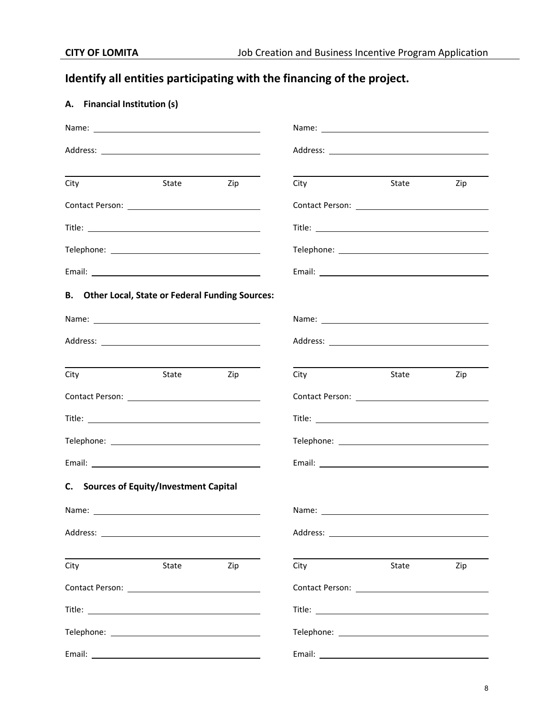# **Identify all entities participating with the financing of the project.**

### **A. Financial Institution (s)**

| City                                                     | State | Zip              | City | State | Zip |
|----------------------------------------------------------|-------|------------------|------|-------|-----|
|                                                          |       |                  |      |       |     |
|                                                          |       |                  |      |       |     |
|                                                          |       |                  |      |       |     |
|                                                          |       |                  |      |       |     |
| <b>B.</b> Other Local, State or Federal Funding Sources: |       |                  |      |       |     |
|                                                          |       |                  |      |       |     |
|                                                          |       |                  |      |       |     |
| City                                                     | State | <b>Example 2</b> | City | State | Zip |
|                                                          |       |                  |      |       |     |
|                                                          |       |                  |      |       |     |
|                                                          |       |                  |      |       |     |
|                                                          |       |                  |      |       |     |
| C. Sources of Equity/Investment Capital                  |       |                  |      |       |     |
|                                                          |       |                  |      |       |     |
|                                                          |       |                  |      |       |     |
| City                                                     | State | Zip              | City | State | Zip |
|                                                          |       |                  |      |       |     |
|                                                          |       |                  |      |       |     |
|                                                          |       |                  |      |       |     |
|                                                          |       |                  |      |       |     |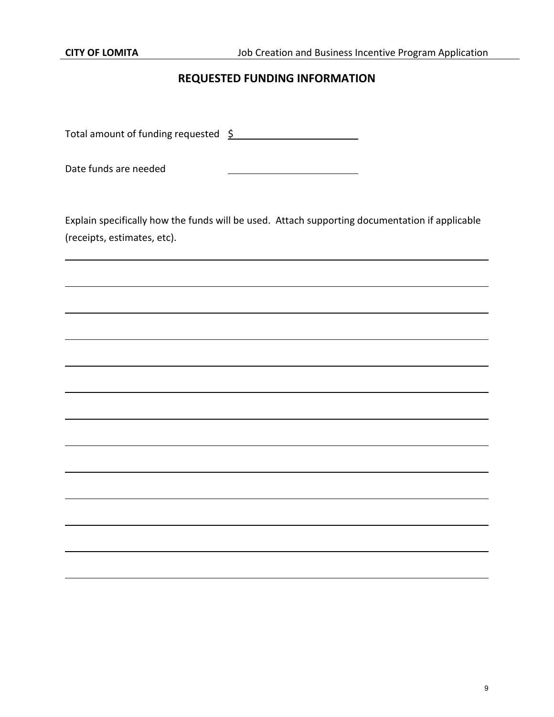# **REQUESTED FUNDING INFORMATION**

Total amount of funding requested  $\frac{5}{2}$ 

Date funds are needed

Explain specifically how the funds will be used. Attach supporting documentation if applicable (receipts, estimates, etc).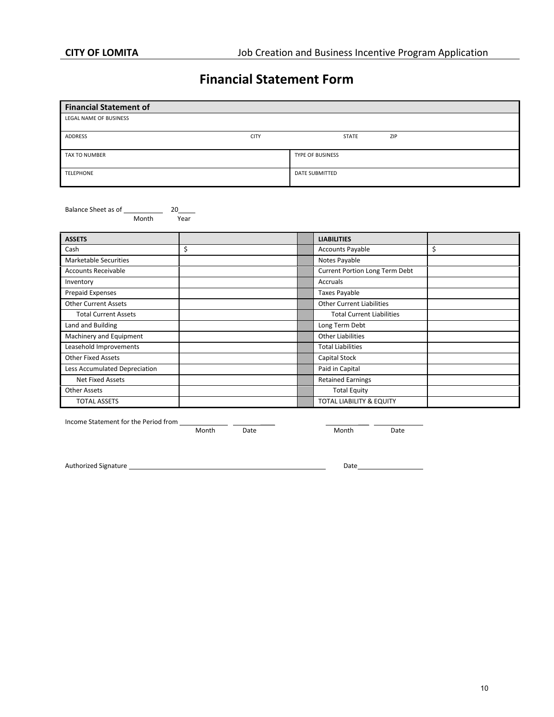# **Financial Statement Form**

| <b>Financial Statement of</b> |             |                         |     |  |
|-------------------------------|-------------|-------------------------|-----|--|
| LEGAL NAME OF BUSINESS        |             |                         |     |  |
| ADDRESS                       | <b>CITY</b> | STATE                   | ZIP |  |
| TAX TO NUMBER                 |             | <b>TYPE OF BUSINESS</b> |     |  |
| TELEPHONE                     |             | DATE SUBMITTED          |     |  |

Balance Sheet as of 20<br>Month Year Month

| <b>ASSETS</b>                 |    | <b>LIABILITIES</b>               |    |
|-------------------------------|----|----------------------------------|----|
| Cash                          | \$ | <b>Accounts Payable</b>          | \$ |
| <b>Marketable Securities</b>  |    | Notes Payable                    |    |
| <b>Accounts Receivable</b>    |    | Current Portion Long Term Debt   |    |
| Inventory                     |    | Accruals                         |    |
| <b>Prepaid Expenses</b>       |    | <b>Taxes Payable</b>             |    |
| <b>Other Current Assets</b>   |    | <b>Other Current Liabilities</b> |    |
| <b>Total Current Assets</b>   |    | <b>Total Current Liabilities</b> |    |
| Land and Building             |    | Long Term Debt                   |    |
| Machinery and Equipment       |    | <b>Other Liabilities</b>         |    |
| Leasehold Improvements        |    | <b>Total Liabilities</b>         |    |
| <b>Other Fixed Assets</b>     |    | Capital Stock                    |    |
| Less Accumulated Depreciation |    | Paid in Capital                  |    |
| <b>Net Fixed Assets</b>       |    | <b>Retained Earnings</b>         |    |
| Other Assets                  |    | <b>Total Equity</b>              |    |
| <b>TOTAL ASSETS</b>           |    | TOTAL LIABILITY & EQUITY         |    |

Income Statement for the Period from

Month Date **Month** Date

Authorized Signature Date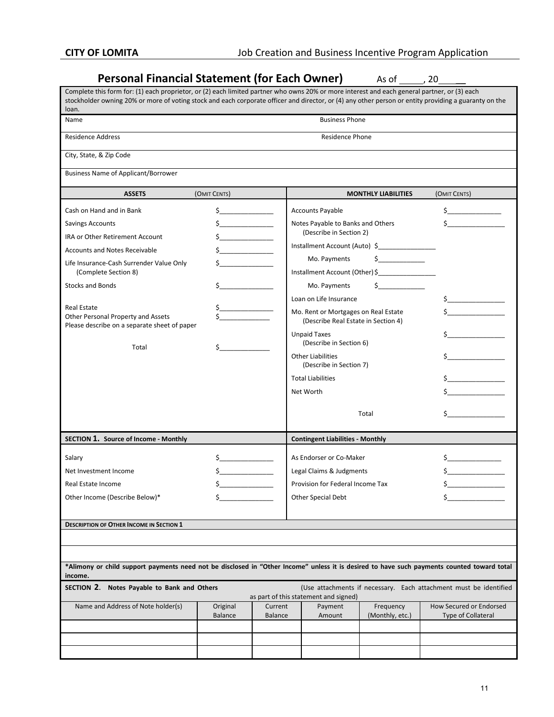| <b>Personal Financial Statement (for Each Owner)</b><br>As of 720                                                                                                                                                                                                                                     |                             |                           |                                                                             |                              |                                                      |  |
|-------------------------------------------------------------------------------------------------------------------------------------------------------------------------------------------------------------------------------------------------------------------------------------------------------|-----------------------------|---------------------------|-----------------------------------------------------------------------------|------------------------------|------------------------------------------------------|--|
| Complete this form for: (1) each proprietor, or (2) each limited partner who owns 20% or more interest and each general partner, or (3) each<br>stockholder owning 20% or more of voting stock and each corporate officer and director, or (4) any other person or entity providing a guaranty on the |                             |                           |                                                                             |                              |                                                      |  |
| loan.<br><b>Business Phone</b><br>Name                                                                                                                                                                                                                                                                |                             |                           |                                                                             |                              |                                                      |  |
| <b>Residence Address</b>                                                                                                                                                                                                                                                                              |                             |                           | <b>Residence Phone</b>                                                      |                              |                                                      |  |
| City, State, & Zip Code                                                                                                                                                                                                                                                                               |                             |                           |                                                                             |                              |                                                      |  |
| <b>Business Name of Applicant/Borrower</b>                                                                                                                                                                                                                                                            |                             |                           |                                                                             |                              |                                                      |  |
| <b>ASSETS</b>                                                                                                                                                                                                                                                                                         | (OMIT CENTS)                |                           |                                                                             | <b>MONTHLY LIABILITIES</b>   | (OMIT CENTS)                                         |  |
| Cash on Hand and in Bank                                                                                                                                                                                                                                                                              | Ś.                          |                           | <b>Accounts Payable</b>                                                     |                              |                                                      |  |
| <b>Savings Accounts</b>                                                                                                                                                                                                                                                                               |                             |                           | Notes Payable to Banks and Others                                           |                              |                                                      |  |
| <b>IRA or Other Retirement Account</b>                                                                                                                                                                                                                                                                |                             |                           | (Describe in Section 2)                                                     |                              |                                                      |  |
| <b>Accounts and Notes Receivable</b>                                                                                                                                                                                                                                                                  | <u> 1999 - Jan Jan Jawa</u> |                           | Installment Account (Auto) \$                                               |                              |                                                      |  |
| Life Insurance-Cash Surrender Value Only                                                                                                                                                                                                                                                              |                             |                           | Mo. Payments                                                                | $\mathsf{\dot{S}}$           |                                                      |  |
| (Complete Section 8)                                                                                                                                                                                                                                                                                  |                             |                           | Installment Account (Other)\$                                               |                              |                                                      |  |
| <b>Stocks and Bonds</b>                                                                                                                                                                                                                                                                               |                             |                           | Mo. Payments                                                                | <b>Contract Contract</b>     |                                                      |  |
| Real Estate                                                                                                                                                                                                                                                                                           |                             |                           | Loan on Life Insurance                                                      |                              |                                                      |  |
| Other Personal Property and Assets<br>Please describe on a separate sheet of paper                                                                                                                                                                                                                    |                             |                           | Mo. Rent or Mortgages on Real Estate<br>(Describe Real Estate in Section 4) |                              |                                                      |  |
| Total                                                                                                                                                                                                                                                                                                 |                             |                           | <b>Unpaid Taxes</b><br>(Describe in Section 6)                              |                              |                                                      |  |
|                                                                                                                                                                                                                                                                                                       |                             |                           | <b>Other Liabilities</b><br>(Describe in Section 7)                         |                              |                                                      |  |
|                                                                                                                                                                                                                                                                                                       |                             |                           | <b>Total Liabilities</b>                                                    |                              |                                                      |  |
|                                                                                                                                                                                                                                                                                                       |                             |                           | Net Worth                                                                   |                              |                                                      |  |
|                                                                                                                                                                                                                                                                                                       |                             |                           |                                                                             | Total                        |                                                      |  |
| SECTION 1. Source of Income - Monthly                                                                                                                                                                                                                                                                 |                             |                           | <b>Contingent Liabilities - Monthly</b>                                     |                              |                                                      |  |
|                                                                                                                                                                                                                                                                                                       |                             |                           | As Endorser or Co-Maker                                                     |                              |                                                      |  |
| Salary<br>Net Investment Income                                                                                                                                                                                                                                                                       |                             |                           |                                                                             |                              |                                                      |  |
| Real Estate Income                                                                                                                                                                                                                                                                                    |                             |                           | Legal Claims & Judgments<br>Provision for Federal Income Tax                |                              |                                                      |  |
| Other Income (Describe Below)*                                                                                                                                                                                                                                                                        | \$.<br>\$                   |                           | Other Special Debt                                                          |                              |                                                      |  |
|                                                                                                                                                                                                                                                                                                       |                             |                           |                                                                             |                              |                                                      |  |
| <b>DESCRIPTION OF OTHER INCOME IN SECTION 1</b>                                                                                                                                                                                                                                                       |                             |                           |                                                                             |                              |                                                      |  |
|                                                                                                                                                                                                                                                                                                       |                             |                           |                                                                             |                              |                                                      |  |
|                                                                                                                                                                                                                                                                                                       |                             |                           |                                                                             |                              |                                                      |  |
| *Alimony or child support payments need not be disclosed in "Other Income" unless it is desired to have such payments counted toward total<br>income.                                                                                                                                                 |                             |                           |                                                                             |                              |                                                      |  |
| SECTION 2. Notes Payable to Bank and Others<br>(Use attachments if necessary. Each attachment must be identified<br>as part of this statement and signed)                                                                                                                                             |                             |                           |                                                                             |                              |                                                      |  |
| Name and Address of Note holder(s)                                                                                                                                                                                                                                                                    | Original<br><b>Balance</b>  | Current<br><b>Balance</b> | Payment<br>Amount                                                           | Frequency<br>(Monthly, etc.) | How Secured or Endorsed<br><b>Type of Collateral</b> |  |
|                                                                                                                                                                                                                                                                                                       |                             |                           |                                                                             |                              |                                                      |  |
|                                                                                                                                                                                                                                                                                                       |                             |                           |                                                                             |                              |                                                      |  |
|                                                                                                                                                                                                                                                                                                       |                             |                           |                                                                             |                              |                                                      |  |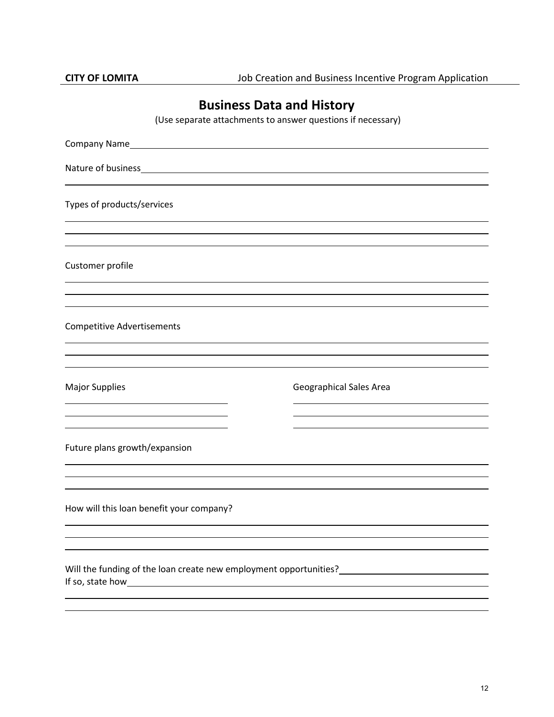# **Business Data and History**

(Use separate attachments to answer questions if necessary)

| Types of products/services               |                                                                                                                                        |
|------------------------------------------|----------------------------------------------------------------------------------------------------------------------------------------|
| Customer profile                         |                                                                                                                                        |
| <b>Competitive Advertisements</b>        |                                                                                                                                        |
| <b>Major Supplies</b>                    | Geographical Sales Area                                                                                                                |
| Future plans growth/expansion            |                                                                                                                                        |
| How will this loan benefit your company? |                                                                                                                                        |
|                                          | Will the funding of the loan create new employment opportunities?<br>Mill the funding of the loan create new employment opportunities? |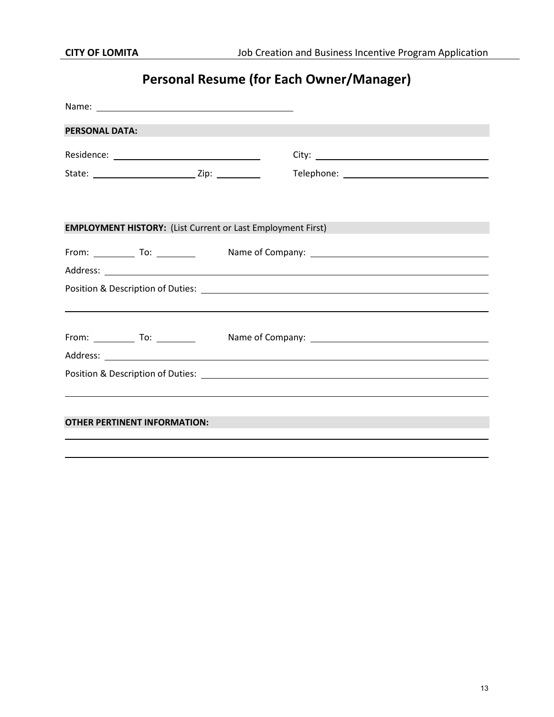# **Personal Resume (for Each Owner/Manager)**

|                                     | Name: Name and the second state of the second state of the second state of the second state of the second state of the second state of the second state of the second state of the second state of the second state of the sec |                                                                                                                                                                                              |
|-------------------------------------|--------------------------------------------------------------------------------------------------------------------------------------------------------------------------------------------------------------------------------|----------------------------------------------------------------------------------------------------------------------------------------------------------------------------------------------|
| <b>PERSONAL DATA:</b>               |                                                                                                                                                                                                                                |                                                                                                                                                                                              |
|                                     |                                                                                                                                                                                                                                |                                                                                                                                                                                              |
|                                     |                                                                                                                                                                                                                                |                                                                                                                                                                                              |
|                                     |                                                                                                                                                                                                                                |                                                                                                                                                                                              |
|                                     |                                                                                                                                                                                                                                | <b>EMPLOYMENT HISTORY:</b> (List Current or Last Employment First)<br><u>a sa mga salawang mga sangang ng mga sangang ng mga sangang ng mga sangang ng mga sangang ng mga sangang ng mga</u> |
|                                     |                                                                                                                                                                                                                                |                                                                                                                                                                                              |
|                                     |                                                                                                                                                                                                                                |                                                                                                                                                                                              |
|                                     |                                                                                                                                                                                                                                |                                                                                                                                                                                              |
|                                     |                                                                                                                                                                                                                                | ,我们也不会有什么。""我们的人,我们也不会有什么?""我们的人,我们也不会有什么?""我们的人,我们也不会有什么?""我们的人,我们也不会有什么?""我们的人                                                                                                             |
|                                     |                                                                                                                                                                                                                                |                                                                                                                                                                                              |
|                                     |                                                                                                                                                                                                                                |                                                                                                                                                                                              |
|                                     |                                                                                                                                                                                                                                |                                                                                                                                                                                              |
|                                     |                                                                                                                                                                                                                                |                                                                                                                                                                                              |
|                                     |                                                                                                                                                                                                                                |                                                                                                                                                                                              |
| <b>OTHER PERTINENT INFORMATION:</b> |                                                                                                                                                                                                                                |                                                                                                                                                                                              |